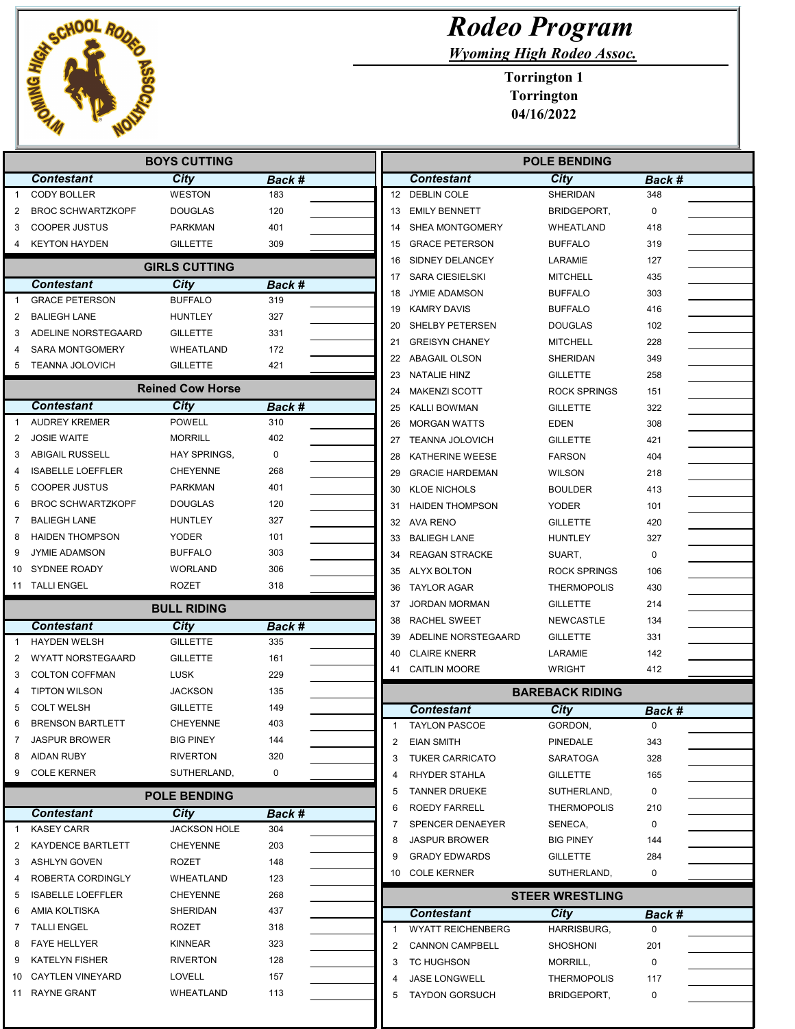

## Rodeo Program

Wyoming High Rodeo Assoc.

|                                                 | <b>BOYS CUTTING</b>                       |                             |               |        | <b>POLE BENDING</b>                           |                                   |             |  |
|-------------------------------------------------|-------------------------------------------|-----------------------------|---------------|--------|-----------------------------------------------|-----------------------------------|-------------|--|
|                                                 | <b>Contestant</b>                         | <b>City</b>                 | Back #        |        | <b>Contestant</b>                             | <b>City</b>                       | Back #      |  |
| -1                                              | <b>CODY BOLLER</b>                        | <b>WESTON</b>               | 183           |        | 12 DEBLIN COLE                                | SHERIDAN                          | 348         |  |
| 2                                               | <b>BROC SCHWARTZKOPF</b>                  | <b>DOUGLAS</b>              | 120           | 13     | <b>EMILY BENNETT</b>                          | BRIDGEPORT,                       | $\mathbf 0$ |  |
| 3                                               | <b>COOPER JUSTUS</b>                      | <b>PARKMAN</b>              | 401           | 14     | SHEA MONTGOMERY                               | WHEATLAND                         | 418         |  |
| 4                                               | <b>KEYTON HAYDEN</b>                      | <b>GILLETTE</b>             | 309           | 15     | <b>GRACE PETERSON</b>                         | <b>BUFFALO</b>                    | 319         |  |
|                                                 |                                           | <b>GIRLS CUTTING</b>        |               | 16     | SIDNEY DELANCEY                               | LARAMIE                           | 127         |  |
|                                                 | <b>Contestant</b>                         | <b>City</b>                 |               | 17     | <b>SARA CIESIELSKI</b>                        | <b>MITCHELL</b>                   | 435         |  |
| $\mathbf 1$                                     | <b>GRACE PETERSON</b>                     | <b>BUFFALO</b>              | Back #<br>319 | 18     | <b>JYMIE ADAMSON</b>                          | <b>BUFFALO</b>                    | 303         |  |
|                                                 | <b>BALIEGH LANE</b>                       | <b>HUNTLEY</b>              | 327           | 19     | <b>KAMRY DAVIS</b>                            | <b>BUFFALO</b>                    | 416         |  |
| 2<br>3                                          | ADELINE NORSTEGAARD                       | <b>GILLETTE</b>             | 331           | 20     | SHELBY PETERSEN                               | <b>DOUGLAS</b>                    | 102         |  |
|                                                 | <b>SARA MONTGOMERY</b>                    |                             | 172           | 21     | <b>GREISYN CHANEY</b>                         | <b>MITCHELL</b>                   | 228         |  |
|                                                 |                                           | WHEATLAND                   |               |        | 22 ABAGAIL OLSON                              | SHERIDAN                          | 349         |  |
| 5                                               | TEANNA JOLOVICH                           | <b>GILLETTE</b>             | 421           | 23     | <b>NATALIE HINZ</b>                           | <b>GILLETTE</b>                   | 258         |  |
|                                                 |                                           | <b>Reined Cow Horse</b>     |               | 24     | <b>MAKENZI SCOTT</b>                          | <b>ROCK SPRINGS</b>               | 151         |  |
|                                                 | <b>Contestant</b>                         | <b>City</b>                 | Back #        | 25     | KALLI BOWMAN                                  | <b>GILLETTE</b>                   | 322         |  |
| $\mathbf 1$                                     | <b>AUDREY KREMER</b>                      | <b>POWELL</b>               | 310           | 26     | <b>MORGAN WATTS</b>                           | <b>EDEN</b>                       | 308         |  |
| $\overline{2}$                                  | <b>JOSIE WAITE</b>                        | <b>MORRILL</b>              | 402           | 27     | <b>TEANNA JOLOVICH</b>                        | <b>GILLETTE</b>                   | 421         |  |
| 3                                               | <b>ABIGAIL RUSSELL</b>                    | HAY SPRINGS,                | 0             | 28     | KATHERINE WEESE                               | <b>FARSON</b>                     | 404         |  |
| 4                                               | <b>ISABELLE LOEFFLER</b>                  | <b>CHEYENNE</b>             | 268           | 29     | <b>GRACIE HARDEMAN</b>                        | <b>WILSON</b>                     | 218         |  |
| 5                                               | <b>COOPER JUSTUS</b>                      | <b>PARKMAN</b>              | 401           | 30     | <b>KLOE NICHOLS</b>                           | <b>BOULDER</b>                    | 413         |  |
| 6                                               | <b>BROC SCHWARTZKOPF</b>                  | <b>DOUGLAS</b>              | 120           |        | 31 HAIDEN THOMPSON                            | <b>YODER</b>                      | 101         |  |
| 7                                               | <b>BALIEGH LANE</b>                       | <b>HUNTLEY</b>              | 327           |        | 32 AVA RENO                                   | <b>GILLETTE</b>                   | 420         |  |
| 8                                               | <b>HAIDEN THOMPSON</b>                    | YODER                       | 101           | 33     | <b>BALIEGH LANE</b>                           | <b>HUNTLEY</b>                    | 327         |  |
| 9                                               | <b>JYMIE ADAMSON</b>                      | <b>BUFFALO</b>              | 303           | 34     | <b>REAGAN STRACKE</b>                         | SUART,                            | 0           |  |
| 10                                              | SYDNEE ROADY                              | <b>WORLAND</b>              | 306           | 35     | ALYX BOLTON                                   | <b>ROCK SPRINGS</b>               | 106         |  |
|                                                 | 11 TALLI ENGEL                            | ROZET                       | 318           | 36     | TAYLOR AGAR                                   | <b>THERMOPOLIS</b>                | 430         |  |
|                                                 |                                           |                             |               | 37     | <b>JORDAN MORMAN</b>                          | <b>GILLETTE</b>                   | 214         |  |
|                                                 |                                           | <b>BULL RIDING</b>          |               | 38     | <b>RACHEL SWEET</b>                           | <b>NEWCASTLE</b>                  | 134         |  |
|                                                 | <b>Contestant</b>                         | City                        | Back #        | 39     | ADELINE NORSTEGAARD                           | <b>GILLETTE</b>                   | 331         |  |
| $\mathbf{1}$                                    | <b>HAYDEN WELSH</b>                       | <b>GILLETTE</b>             | 335           | 40     | <b>CLAIRE KNERR</b>                           | LARAMIE                           | 142         |  |
| 2                                               | <b>WYATT NORSTEGAARD</b>                  | <b>GILLETTE</b>             | 161           |        | 41 CAITLIN MOORE                              | <b>WRIGHT</b>                     | 412         |  |
| 3                                               | <b>COLTON COFFMAN</b>                     | <b>LUSK</b>                 | 229           |        |                                               |                                   |             |  |
| 4                                               | <b>TIPTON WILSON</b>                      | <b>JACKSON</b>              | 135           |        |                                               | <b>BAREBACK RIDING</b>            |             |  |
| 5                                               | <b>COLT WELSH</b>                         | <b>GILLETTE</b>             | 149           |        | <b>Contestant</b>                             | City                              | Back #      |  |
| 6                                               | <b>BRENSON BARTLETT</b>                   | <b>CHEYENNE</b>             | 403           |        | <b>TAYLON PASCOE</b>                          | GORDON,                           | $\mathbf 0$ |  |
| 7                                               | <b>JASPUR BROWER</b>                      | <b>BIG PINEY</b>            | 144           | 2      | <b>EIAN SMITH</b>                             | PINEDALE                          | 343         |  |
| 8                                               | <b>AIDAN RUBY</b>                         | <b>RIVERTON</b>             | 320           | 3      | <b>TUKER CARRICATO</b>                        | <b>SARATOGA</b>                   | 328         |  |
| 9                                               | <b>COLE KERNER</b>                        | SUTHERLAND,                 | 0             |        | RHYDER STAHLA                                 | <b>GILLETTE</b>                   | 165         |  |
|                                                 |                                           |                             |               | 5      | <b>TANNER DRUEKE</b>                          | SUTHERLAND,                       | 0           |  |
|                                                 |                                           | <b>POLE BENDING</b>         |               |        |                                               |                                   | 210         |  |
|                                                 |                                           |                             |               | 6      | ROEDY FARRELL                                 | <b>THERMOPOLIS</b>                |             |  |
|                                                 | <b>Contestant</b><br><b>KASEY CARR</b>    | City<br><b>JACKSON HOLE</b> | Back #<br>304 | 7      | SPENCER DENAEYER                              | SENECA,                           | 0           |  |
|                                                 | KAYDENCE BARTLETT                         | <b>CHEYENNE</b>             | 203           |        | <b>JASPUR BROWER</b>                          | <b>BIG PINEY</b>                  | 144         |  |
|                                                 | <b>ASHLYN GOVEN</b>                       | ROZET                       | 148           | 9      | <b>GRADY EDWARDS</b>                          | <b>GILLETTE</b>                   | 284         |  |
|                                                 | ROBERTA CORDINGLY                         | WHEATLAND                   |               |        | 10 COLE KERNER                                | SUTHERLAND,                       | 0           |  |
|                                                 | <b>ISABELLE LOEFFLER</b>                  | <b>CHEYENNE</b>             | 123           |        |                                               |                                   |             |  |
|                                                 |                                           |                             | 268           |        |                                               | <b>STEER WRESTLING</b>            |             |  |
|                                                 | AMIA KOLTISKA                             | SHERIDAN                    | 437           |        | <b>Contestant</b>                             | <b>City</b>                       | Back #      |  |
|                                                 | <b>TALLI ENGEL</b>                        | ROZET                       | 318           | 1      | <b>WYATT REICHENBERG</b>                      | HARRISBURG,                       | 0           |  |
| $\mathbf{1}$<br>2<br>3<br>4<br>5<br>6<br>7<br>8 | <b>FAYE HELLYER</b>                       | <b>KINNEAR</b>              | 323           | 2      | <b>CANNON CAMPBELL</b>                        | <b>SHOSHONI</b>                   | 201         |  |
| 9                                               | <b>KATELYN FISHER</b>                     | <b>RIVERTON</b>             | 128           | 3      | TC HUGHSON                                    | MORRILL,                          | 0           |  |
| 10                                              | <b>CAYTLEN VINEYARD</b><br>11 RAYNE GRANT | LOVELL<br>WHEATLAND         | 157<br>113    | 4<br>5 | <b>JASE LONGWELL</b><br><b>TAYDON GORSUCH</b> | <b>THERMOPOLIS</b><br>BRIDGEPORT, | 117<br>0    |  |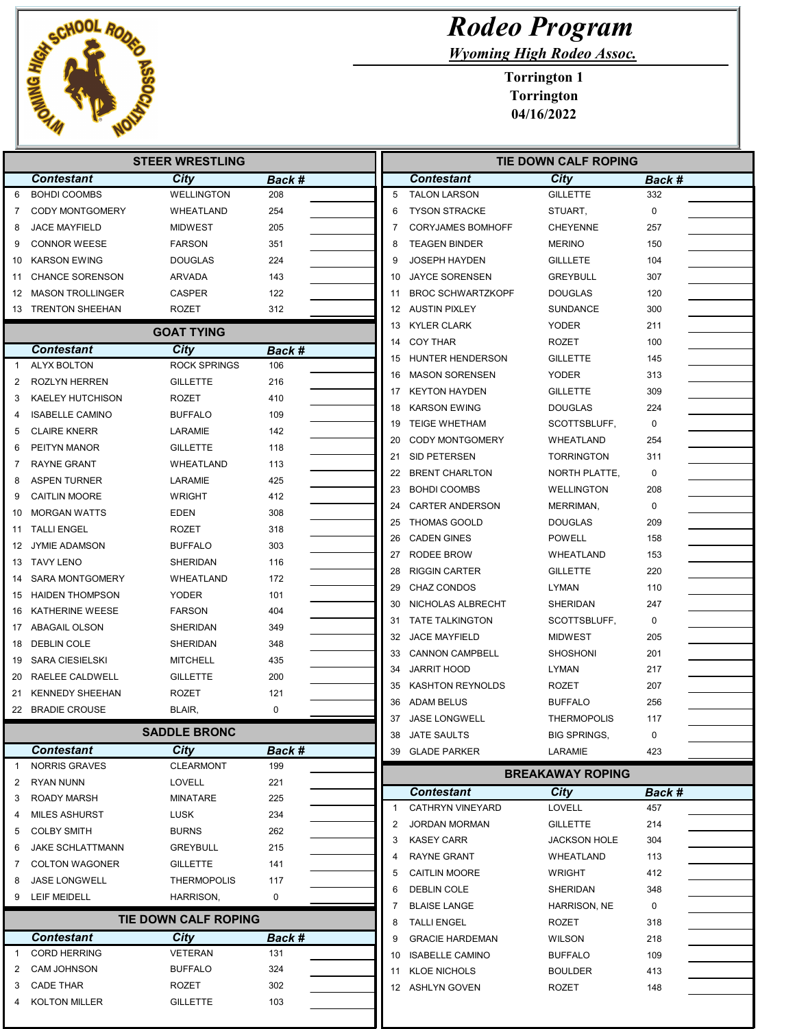

|              |                         | <b>STEER WRESTLING</b> |             |                |    |                                           | TIE DOWN CALF ROPING           |                    |
|--------------|-------------------------|------------------------|-------------|----------------|----|-------------------------------------------|--------------------------------|--------------------|
|              | <b>Contestant</b>       | City                   | Back #      |                |    | <b>Contestant</b>                         | City                           | <b>Back #</b>      |
| 6            | <b>BOHDI COOMBS</b>     | <b>WELLINGTON</b>      | 208         | 5              |    | <b>TALON LARSON</b>                       | <b>GILLETTE</b>                | 332                |
| 7            | <b>CODY MONTGOMERY</b>  | WHEATLAND              | 254         | 6              |    | <b>TYSON STRACKE</b>                      | STUART,                        | $\Omega$           |
| 8            | <b>JACE MAYFIELD</b>    | <b>MIDWEST</b>         | 205         | 7              |    | <b>CORYJAMES BOMHOFF</b>                  | <b>CHEYENNE</b>                | 257                |
| 9            | <b>CONNOR WEESE</b>     | <b>FARSON</b>          | 351         | 8              |    | <b>TEAGEN BINDER</b>                      | <b>MERINO</b>                  | 150                |
| 10           | <b>KARSON EWING</b>     | <b>DOUGLAS</b>         | 224         | 9              |    | <b>JOSEPH HAYDEN</b>                      | <b>GILLLETE</b>                | 104                |
| 11           | <b>CHANCE SORENSON</b>  | <b>ARVADA</b>          | 143         | 10             |    | <b>JAYCE SORENSEN</b>                     | <b>GREYBULL</b>                | 307                |
| 12           | <b>MASON TROLLINGER</b> | <b>CASPER</b>          | 122         | 11             |    | <b>BROC SCHWARTZKOPF</b>                  | <b>DOUGLAS</b>                 | 120                |
|              | 13 TRENTON SHEEHAN      | <b>ROZET</b>           | 312         | 12             |    | <b>AUSTIN PIXLEY</b>                      | <b>SUNDANCE</b>                | 300                |
|              |                         | <b>GOAT TYING</b>      |             | 13             |    | <b>KYLER CLARK</b>                        | <b>YODER</b>                   | 211                |
|              | <b>Contestant</b>       | City                   | Back #      | 14             |    | <b>COY THAR</b>                           | <b>ROZET</b>                   | 100                |
| $\mathbf{1}$ | <b>ALYX BOLTON</b>      | <b>ROCK SPRINGS</b>    | 106         | 15             |    | HUNTER HENDERSON                          | <b>GILLETTE</b>                | 145                |
| 2            | <b>ROZLYN HERREN</b>    | <b>GILLETTE</b>        | 216         | 16             |    | <b>MASON SORENSEN</b>                     | <b>YODER</b>                   | 313                |
| 3            | <b>KAELEY HUTCHISON</b> | <b>ROZET</b>           | 410         | 17             |    | <b>KEYTON HAYDEN</b>                      | <b>GILLETTE</b>                | 309                |
| 4            | <b>ISABELLE CAMINO</b>  | <b>BUFFALO</b>         | 109         | 18             |    | <b>KARSON EWING</b>                       | <b>DOUGLAS</b>                 | 224                |
| 5            | <b>CLAIRE KNERR</b>     | LARAMIE                | 142         | 19             |    | <b>TEIGE WHETHAM</b>                      | SCOTTSBLUFF,                   | $\Omega$           |
| 6            | PEITYN MANOR            | <b>GILLETTE</b>        | 118         | 20             |    | <b>CODY MONTGOMERY</b>                    | WHEATLAND                      | 254                |
| 7            | <b>RAYNE GRANT</b>      | WHEATLAND              | 113         | 21             |    | SID PETERSEN                              | <b>TORRINGTON</b>              | 311                |
| 8            | <b>ASPEN TURNER</b>     | LARAMIE                | 425         | 22             |    | <b>BRENT CHARLTON</b>                     | NORTH PLATTE,                  | $\mathbf 0$        |
| 9            | <b>CAITLIN MOORE</b>    | <b>WRIGHT</b>          | 412         | 23             |    | <b>BOHDI COOMBS</b>                       | <b>WELLINGTON</b>              | 208                |
| 10           | <b>MORGAN WATTS</b>     | EDEN                   | 308         | 24             |    | <b>CARTER ANDERSON</b>                    | MERRIMAN,                      | $\mathbf 0$        |
| 11           | <b>TALLI ENGEL</b>      | <b>ROZET</b>           | 318         | 25             |    | <b>THOMAS GOOLD</b>                       | <b>DOUGLAS</b>                 | 209                |
| 12           | <b>JYMIE ADAMSON</b>    | <b>BUFFALO</b>         | 303         | 26             |    | <b>CADEN GINES</b>                        | <b>POWELL</b>                  | 158                |
| 13           | <b>TAVY LENO</b>        | SHERIDAN               | 116         | 27             |    | RODEE BROW                                | WHEATLAND                      | 153                |
| 14           | <b>SARA MONTGOMERY</b>  | WHEATLAND              | 172         | 28             |    | <b>RIGGIN CARTER</b>                      | <b>GILLETTE</b>                | 220                |
| 15           | HAIDEN THOMPSON         | <b>YODER</b>           | 101         | 29             |    | <b>CHAZ CONDOS</b>                        | <b>LYMAN</b>                   | 110                |
| 16           | <b>KATHERINE WEESE</b>  | <b>FARSON</b>          | 404         | 30             |    | NICHOLAS ALBRECHT                         | SHERIDAN                       | 247                |
| 17           | ABAGAIL OLSON           | SHERIDAN               | 349         | 31             |    | <b>TATE TALKINGTON</b>                    | SCOTTSBLUFF,                   | $\mathbf 0$        |
| 18           | <b>DEBLIN COLE</b>      | SHERIDAN               | 348         | 32             |    | <b>JACE MAYFIELD</b>                      | <b>MIDWEST</b>                 | 205                |
| 19           | <b>SARA CIESIELSKI</b>  | <b>MITCHELL</b>        | 435         | 33             |    | <b>CANNON CAMPBELL</b>                    | <b>SHOSHONI</b>                | 201                |
| 20           | RAELEE CALDWELL         | <b>GILLETTE</b>        | 200         | 34             |    | <b>JARRIT HOOD</b>                        | LYMAN                          | 217                |
| 21           | <b>KENNEDY SHEEHAN</b>  | <b>ROZET</b>           | 121         | 35             |    | <b>KASHTON REYNOLDS</b>                   | ROZET                          | 207                |
|              | 22 BRADIE CROUSE        | BLAIR,                 | $\mathbf 0$ | 36             |    | ADAM BELUS                                | <b>BUFFALO</b>                 | 256                |
|              |                         | <b>SADDLE BRONC</b>    |             | 37             |    | <b>JASE LONGWELL</b>                      | <b>THERMOPOLIS</b>             | 117                |
|              | <b>Contestant</b>       | City                   | Back #      |                |    | 38 JATE SAULTS<br>39 GLADE PARKER         | <b>BIG SPRINGS,</b><br>LARAMIE | 0<br>423           |
| 1            | <b>NORRIS GRAVES</b>    | <b>CLEARMONT</b>       | 199         |                |    |                                           |                                |                    |
| 2            | <b>RYAN NUNN</b>        | LOVELL                 | 221         |                |    |                                           | <b>BREAKAWAY ROPING</b>        |                    |
| 3            | <b>ROADY MARSH</b>      | MINATARE               | 225         |                |    | <b>Contestant</b>                         | City                           | <b>Back #</b>      |
| 4            | <b>MILES ASHURST</b>    | LUSK                   | 234         | $\mathbf{1}$   |    | CATHRYN VINEYARD                          | <b>LOVELL</b>                  | 457                |
| 5            | <b>COLBY SMITH</b>      | <b>BURNS</b>           | 262         | $\overline{2}$ |    | <b>JORDAN MORMAN</b>                      | <b>GILLETTE</b>                | 214                |
| 6            | <b>JAKE SCHLATTMANN</b> | <b>GREYBULL</b>        | 215         | 3              |    | <b>KASEY CARR</b>                         | <b>JACKSON HOLE</b>            | 304                |
| 7            | <b>COLTON WAGONER</b>   | <b>GILLETTE</b>        | 141         | 4              |    | RAYNE GRANT                               | WHEATLAND                      | 113                |
| 8            | <b>JASE LONGWELL</b>    | <b>THERMOPOLIS</b>     | 117         | 5              |    | <b>CAITLIN MOORE</b>                      | <b>WRIGHT</b>                  | 412                |
| 9            | <b>LEIF MEIDELL</b>     | HARRISON,              | 0           | 6              |    | DEBLIN COLE                               | SHERIDAN                       | 348<br>$\mathbf 0$ |
|              |                         | TIE DOWN CALF ROPING   |             | 7<br>8         |    | <b>BLAISE LANGE</b><br><b>TALLI ENGEL</b> | HARRISON, NE<br>ROZET          | 318                |
|              | <b>Contestant</b>       | City                   | Back #      | 9              |    | <b>GRACIE HARDEMAN</b>                    | <b>WILSON</b>                  | 218                |
| 1            | <b>CORD HERRING</b>     | VETERAN                | 131         | 10             |    | <b>ISABELLE CAMINO</b>                    | <b>BUFFALO</b>                 | 109                |
| 2            | <b>CAM JOHNSON</b>      | <b>BUFFALO</b>         | 324         |                | 11 | <b>KLOE NICHOLS</b>                       | <b>BOULDER</b>                 | 413                |
| 3            | <b>CADE THAR</b>        | ROZET                  | 302         |                |    | 12 ASHLYN GOVEN                           | ROZET                          | 148                |

4 KOLTON MILLER GILLETTE 103

## Rodeo Program

Wyoming High Rodeo Assoc.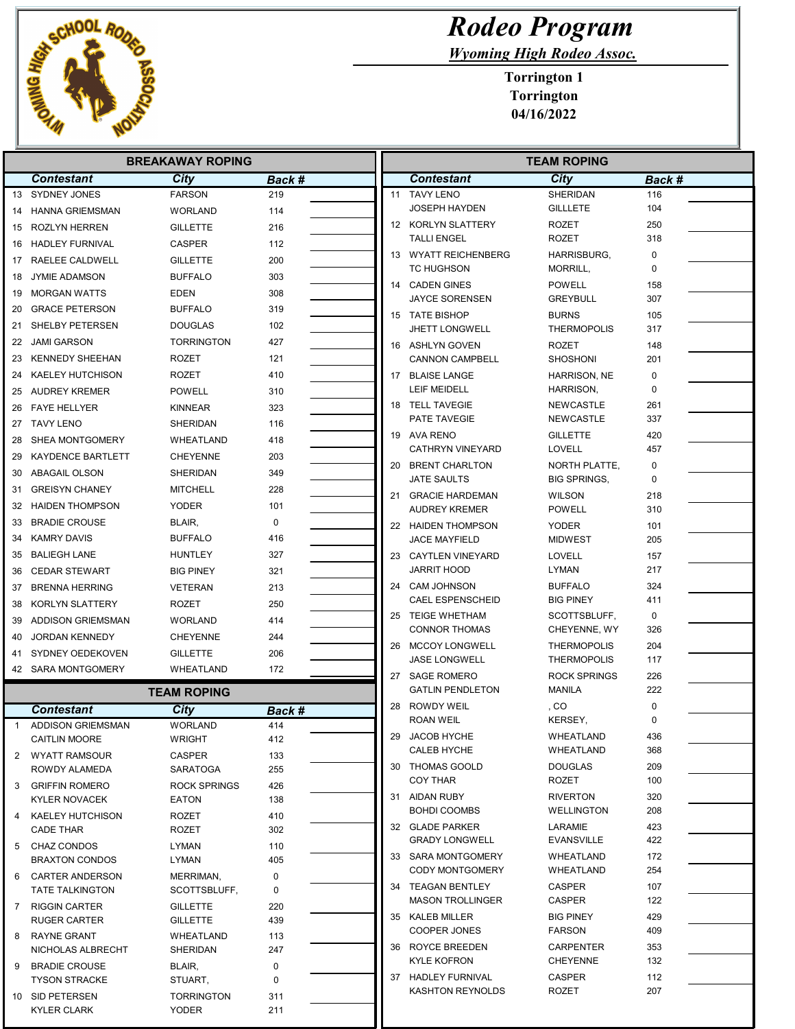

## Rodeo Program

Wyoming High Rodeo Assoc.

| <b>BREAKAWAY ROPING</b> |                                               |                              |               |  | <b>TEAM ROPING</b> |                                              |                                    |            |  |
|-------------------------|-----------------------------------------------|------------------------------|---------------|--|--------------------|----------------------------------------------|------------------------------------|------------|--|
|                         | <b>Contestant</b>                             | City                         | <b>Back #</b> |  |                    | <b>Contestant</b>                            | City                               | Back #     |  |
|                         | 13 SYDNEY JONES                               | <b>FARSON</b>                | 219           |  |                    | 11 TAVY LENO                                 | SHERIDAN                           | 116        |  |
|                         | 14 HANNA GRIEMSMAN                            | <b>WORLAND</b>               | 114           |  |                    | JOSEPH HAYDEN                                | <b>GILLLETE</b>                    | 104        |  |
|                         | 15 ROZLYN HERREN                              | <b>GILLETTE</b>              | 216           |  |                    | 12 KORLYN SLATTERY                           | <b>ROZET</b>                       | 250        |  |
| 16                      | <b>HADLEY FURNIVAL</b>                        | <b>CASPER</b>                | 112           |  |                    | <b>TALLI ENGEL</b>                           | <b>ROZET</b>                       | 318        |  |
|                         | 17 RAELEE CALDWELL                            | <b>GILLETTE</b>              | 200           |  |                    | 13 WYATT REICHENBERG                         | HARRISBURG,                        | 0<br>0     |  |
| 18                      | <b>JYMIE ADAMSON</b>                          | <b>BUFFALO</b>               | 303           |  |                    | TC HUGHSON<br>14 CADEN GINES                 | MORRILL,<br><b>POWELL</b>          | 158        |  |
| 19                      | <b>MORGAN WATTS</b>                           | <b>EDEN</b>                  | 308           |  |                    | JAYCE SORENSEN                               | <b>GREYBULL</b>                    | 307        |  |
| 20                      | <b>GRACE PETERSON</b>                         | <b>BUFFALO</b>               | 319           |  |                    | 15 TATE BISHOP                               | <b>BURNS</b>                       | 105        |  |
| 21                      | SHELBY PETERSEN                               | <b>DOUGLAS</b>               | 102           |  |                    | <b>JHETT LONGWELL</b>                        | <b>THERMOPOLIS</b>                 | 317        |  |
|                         | 22 JAMI GARSON                                | <b>TORRINGTON</b>            | 427           |  |                    | 16 ASHLYN GOVEN                              | <b>ROZET</b>                       | 148        |  |
| 23                      | KENNEDY SHEEHAN                               | ROZET                        | 121           |  |                    | <b>CANNON CAMPBELL</b>                       | <b>SHOSHONI</b>                    | 201        |  |
| 24                      | KAELEY HUTCHISON                              | <b>ROZET</b>                 | 410           |  |                    | 17 BLAISE LANGE                              | <b>HARRISON, NE</b>                | 0          |  |
| 25                      | AUDREY KREMER                                 | POWELL                       | 310           |  |                    | <b>LEIF MEIDELL</b>                          | HARRISON,                          | $\Omega$   |  |
| 26                      | <b>FAYE HELLYER</b>                           | KINNEAR                      | 323           |  |                    | 18 TELL TAVEGIE                              | <b>NEWCASTLE</b>                   | 261        |  |
|                         | 27 TAVY LENO                                  | SHERIDAN                     | 116           |  |                    | PATE TAVEGIE                                 | NEWCASTLE                          | 337        |  |
| 28                      | SHEA MONTGOMERY                               | WHEATLAND                    | 418           |  |                    | 19 AVA RENO<br><b>CATHRYN VINEYARD</b>       | <b>GILLETTE</b><br><b>LOVELL</b>   | 420<br>457 |  |
| 29                      | <b>KAYDENCE BARTLETT</b>                      | CHEYENNE                     | 203           |  |                    | 20 BRENT CHARLTON                            | NORTH PLATTE,                      | 0          |  |
| 30                      | ABAGAIL OLSON                                 | SHERIDAN                     | 349           |  |                    | JATE SAULTS                                  | <b>BIG SPRINGS,</b>                | 0          |  |
| 31                      | <b>GREISYN CHANEY</b>                         | <b>MITCHELL</b>              | 228           |  |                    | 21 GRACIE HARDEMAN                           | <b>WILSON</b>                      | 218        |  |
| 32                      | <b>HAIDEN THOMPSON</b>                        | <b>YODER</b>                 | 101           |  |                    | <b>AUDREY KREMER</b>                         | <b>POWELL</b>                      | 310        |  |
| 33                      | <b>BRADIE CROUSE</b>                          | BLAIR,                       | $\mathbf 0$   |  |                    | 22 HAIDEN THOMPSON                           | <b>YODER</b>                       | 101        |  |
| 34                      | KAMRY DAVIS                                   | <b>BUFFALO</b>               | 416           |  |                    | <b>JACE MAYFIELD</b>                         | <b>MIDWEST</b>                     | 205        |  |
| 35                      | <b>BALIEGH LANE</b>                           | <b>HUNTLEY</b>               | 327           |  |                    | 23 CAYTLEN VINEYARD                          | <b>LOVELL</b>                      | 157        |  |
| 36                      | <b>CEDAR STEWART</b>                          | <b>BIG PINEY</b>             | 321           |  |                    | JARRIT HOOD                                  | LYMAN                              | 217        |  |
| 37                      | <b>BRENNA HERRING</b>                         | <b>VETERAN</b>               | 213           |  |                    | 24 CAM JOHNSON<br><b>CAEL ESPENSCHEID</b>    | <b>BUFFALO</b><br><b>BIG PINEY</b> | 324<br>411 |  |
| 38                      | KORLYN SLATTERY                               | <b>ROZET</b>                 | 250           |  |                    | 25 TEIGE WHETHAM                             | SCOTTSBLUFF,                       | 0          |  |
| 39                      | ADDISON GRIEMSMAN                             | <b>WORLAND</b>               | 414           |  |                    | <b>CONNOR THOMAS</b>                         | CHEYENNE, WY                       | 326        |  |
| 40                      | <b>JORDAN KENNEDY</b>                         | <b>CHEYENNE</b>              | 244           |  |                    | 26 MCCOY LONGWELL                            | <b>THERMOPOLIS</b>                 | 204        |  |
| 41                      | SYDNEY OEDEKOVEN                              | <b>GILLETTE</b>              | 206           |  |                    | <b>JASE LONGWELL</b>                         | <b>THERMOPOLIS</b>                 | 117        |  |
|                         | 42 SARA MONTGOMERY                            | WHEATLAND                    | 172           |  |                    | 27 SAGE ROMERO                               | <b>ROCK SPRINGS</b>                | 226        |  |
|                         |                                               | <b>TEAM ROPING</b>           |               |  |                    | <b>GATLIN PENDLETON</b>                      | <b>MANILA</b>                      | 222        |  |
|                         | <b>Contestant</b>                             | City                         | Back #        |  |                    | 28 ROWDY WEIL                                | , CO                               | 0          |  |
| $\mathbf{1}$            | <b>ADDISON GRIEMSMAN</b>                      | <b>WORLAND</b>               | 414           |  |                    | <b>ROAN WEIL</b>                             | KERSEY,                            | 0          |  |
|                         | <b>CAITLIN MOORE</b>                          | WRIGHT                       | 412           |  |                    | 29 JACOB HYCHE<br>CALEB HYCHE                | WHEATLAND<br>WHEATLAND             | 436<br>368 |  |
| 2                       | WYATT RAMSOUR                                 | <b>CASPER</b>                | 133           |  |                    | 30 THOMAS GOOLD                              | <b>DOUGLAS</b>                     | 209        |  |
|                         | ROWDY ALAMEDA                                 | SARATOGA                     | 255           |  |                    | <b>COY THAR</b>                              | <b>ROZET</b>                       | 100        |  |
| 3                       | <b>GRIFFIN ROMERO</b><br><b>KYLER NOVACEK</b> | <b>ROCK SPRINGS</b><br>EATON | 426<br>138    |  |                    | 31 AIDAN RUBY                                | <b>RIVERTON</b>                    | 320        |  |
| 4                       | KAELEY HUTCHISON                              | ROZET                        | 410           |  |                    | <b>BOHDI COOMBS</b>                          | <b>WELLINGTON</b>                  | 208        |  |
|                         | <b>CADE THAR</b>                              | <b>ROZET</b>                 | 302           |  |                    | 32 GLADE PARKER                              | LARAMIE                            | 423        |  |
| 5                       | CHAZ CONDOS                                   | <b>LYMAN</b>                 | 110           |  |                    | <b>GRADY LONGWELL</b>                        | <b>EVANSVILLE</b>                  | 422        |  |
|                         | <b>BRAXTON CONDOS</b>                         | LYMAN                        | 405           |  |                    | 33 SARA MONTGOMERY                           | WHEATLAND                          | 172        |  |
| 6                       | <b>CARTER ANDERSON</b>                        | MERRIMAN,                    | 0             |  |                    | <b>CODY MONTGOMERY</b>                       | WHEATLAND                          | 254        |  |
|                         | <b>TATE TALKINGTON</b>                        | SCOTTSBLUFF,                 | $\mathbf 0$   |  |                    | 34 TEAGAN BENTLEY<br><b>MASON TROLLINGER</b> | CASPER<br>CASPER                   | 107<br>122 |  |
|                         | 7 RIGGIN CARTER                               | <b>GILLETTE</b>              | 220           |  |                    | 35 KALEB MILLER                              | <b>BIG PINEY</b>                   | 429        |  |
|                         | <b>RUGER CARTER</b>                           | <b>GILLETTE</b>              | 439           |  |                    | COOPER JONES                                 | <b>FARSON</b>                      | 409        |  |
| 8                       | <b>RAYNE GRANT</b><br>NICHOLAS ALBRECHT       | WHEATLAND<br>SHERIDAN        | 113<br>247    |  |                    | 36 ROYCE BREEDEN                             | <b>CARPENTER</b>                   | 353        |  |
| 9                       | <b>BRADIE CROUSE</b>                          | BLAIR,                       | 0             |  |                    | <b>KYLE KOFRON</b>                           | <b>CHEYENNE</b>                    | 132        |  |
|                         | <b>TYSON STRACKE</b>                          | STUART,                      | $\mathbf 0$   |  |                    | 37 HADLEY FURNIVAL                           | <b>CASPER</b>                      | 112        |  |
|                         | 10 SID PETERSEN                               | <b>TORRINGTON</b>            | 311           |  |                    | <b>KASHTON REYNOLDS</b>                      | <b>ROZET</b>                       | 207        |  |
|                         | <b>KYLER CLARK</b>                            | <b>YODER</b>                 | 211           |  |                    |                                              |                                    |            |  |